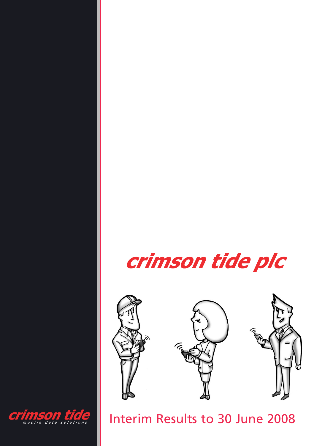





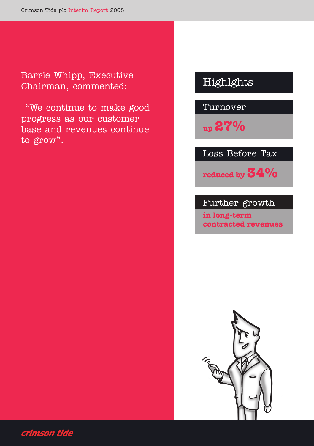Barrie Whipp, Executive Chairman, commented:

"We continue to make good progress as our customer base and revenues continue to grow".

# Highlghts

Turnover

**up27%**

Loss Before Tax

**reduced by 34%**

## Further growth

**in long-term contracted revenues**



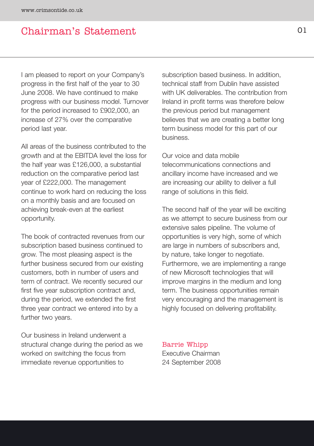## Chairman's Statement

I am pleased to report on your Company's progress in the first half of the year to 30 June 2008. We have continued to make progress with our business model. Turnover for the period increased to £902,000, an increase of 27% over the comparative period last year.

All areas of the business contributed to the growth and at the EBITDA level the loss for the half year was £126,000, a substantial reduction on the comparative period last year of £222,000. The management continue to work hard on reducing the loss on a monthly basis and are focused on achieving break-even at the earliest opportunity.

The book of contracted revenues from our subscription based business continued to grow. The most pleasing aspect is the further business secured from our existing customers, both in number of users and term of contract. We recently secured our first five year subscription contract and, during the period, we extended the first three year contract we entered into by a further two years.

Our business in Ireland underwent a structural change during the period as we worked on switching the focus from immediate revenue opportunities to

subscription based business. In addition, technical staff from Dublin have assisted with UK deliverables. The contribution from Ireland in profit terms was therefore below the previous period but management believes that we are creating a better long term business model for this part of our business.

Our voice and data mobile telecommunications connections and ancillary income have increased and we are increasing our ability to deliver a full range of solutions in this field.

The second half of the year will be exciting as we attempt to secure business from our extensive sales pipeline. The volume of opportunities is very high, some of which are large in numbers of subscribers and, by nature, take longer to negotiate. Furthermore, we are implementing a range of new Microsoft technologies that will improve margins in the medium and long term. The business opportunities remain very encouraging and the management is highly focused on delivering profitability.

Barrie Whipp Executive Chairman 24 September 2008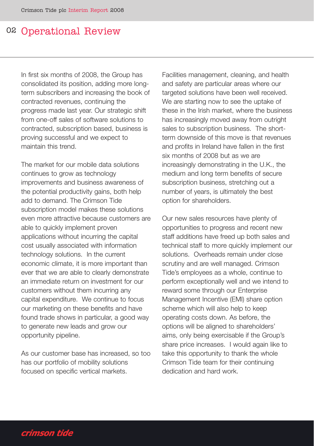## 02 Operational Review

In first six months of 2008, the Group has consolidated its position, adding more longterm subscribers and increasing the book of contracted revenues, continuing the progress made last year. Our strategic shift from one-off sales of software solutions to contracted, subscription based, business is proving successful and we expect to maintain this trend.

The market for our mobile data solutions continues to grow as technology improvements and business awareness of the potential productivity gains, both help add to demand. The Crimson Tide subscription model makes these solutions even more attractive because customers are able to quickly implement proven applications without incurring the capital cost usually associated with information technology solutions. In the current economic climate, it is more important than ever that we are able to clearly demonstrate an immediate return on investment for our customers without them incurring any capital expenditure. We continue to focus our marketing on these benefits and have found trade shows in particular, a good way to generate new leads and grow our opportunity pipeline.

As our customer base has increased, so too has our portfolio of mobility solutions focused on specific vertical markets.

Facilities management, cleaning, and health and safety are particular areas where our targeted solutions have been well received. We are starting now to see the uptake of these in the Irish market, where the business has increasingly moved away from outright sales to subscription business. The shortterm downside of this move is that revenues and profits in Ireland have fallen in the first six months of 2008 but as we are increasingly demonstrating in the U.K., the medium and long term benefits of secure subscription business, stretching out a number of years, is ultimately the best option for shareholders.

Our new sales resources have plenty of opportunities to progress and recent new staff additions have freed up both sales and technical staff to more quickly implement our solutions. Overheads remain under close scrutiny and are well managed. Crimson Tide's employees as a whole, continue to perform exceptionally well and we intend to reward some through our Enterprise Management Incentive (EMI) share option scheme which will also help to keep operating costs down. As before, the options will be aligned to shareholders' aims, only being exercisable if the Group's share price increases. I would again like to take this opportunity to thank the whole Crimson Tide team for their continuing dedication and hard work.

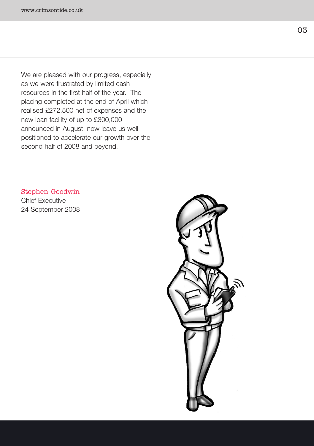We are pleased with our progress, especially as we were frustrated by limited cash resources in the first half of the year. The placing completed at the end of April which realised £272,500 net of expenses and the new loan facility of up to £300,000 announced in August, now leave us well positioned to accelerate our growth over the second half of 2008 and beyond.

#### Stephen Goodwin

Chief Executive 24 September 2008

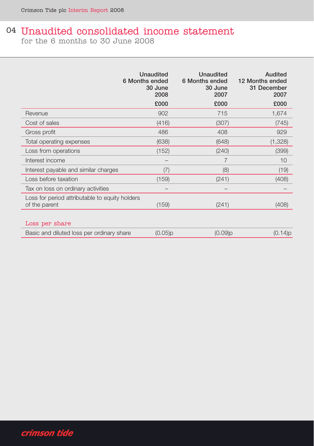# 04 Unaudited consolidated income statement

for the 6 months to 30 June 2008

|                                                                 | Unaudited<br>6 Months ended<br>30 June<br>2008 | <b>Unaudited</b><br>6 Months ended<br>30 June<br>2007 | Audited<br>12 Months ended<br>31 December<br>2007 |
|-----------------------------------------------------------------|------------------------------------------------|-------------------------------------------------------|---------------------------------------------------|
|                                                                 | £000                                           | £000                                                  | £000                                              |
| Revenue                                                         | 902                                            | 715                                                   | 1,674                                             |
| Cost of sales                                                   | (416)                                          | (307)                                                 | (745)                                             |
| Gross profit                                                    | 486                                            | 408                                                   | 929                                               |
| Total operating expenses                                        | (638)                                          | (648)                                                 | (1,328)                                           |
| Loss from operations                                            | (152)                                          | (240)                                                 | (399)                                             |
| Interest income                                                 |                                                | 7                                                     | 10                                                |
| Interest payable and similar charges                            | (7)                                            | (8)                                                   | (19)                                              |
| Loss before taxation                                            | (159)                                          | (241)                                                 | (408)                                             |
| Tax on loss on ordinary activities                              |                                                |                                                       |                                                   |
| Loss for period attributable to equity holders<br>of the parent | (159)                                          | (241)                                                 | (408)                                             |
| Loss per share                                                  |                                                |                                                       |                                                   |

| Basic and diluted loss per ordinary share | $(0.05)$ p | $(0.09)$ p | (0.14)p |
|-------------------------------------------|------------|------------|---------|
|                                           |            |            |         |

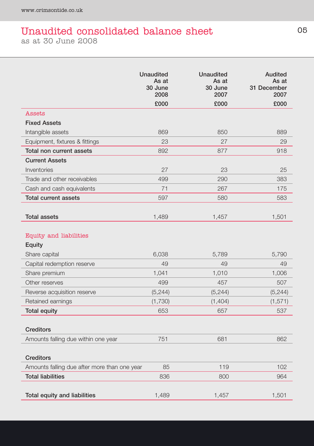## Unaudited consolidated balance sheet as at 30 June 2008

|                                              | <b>Unaudited</b><br>As at<br>30 June<br>2008 | <b>Unaudited</b><br>As at<br>30 June<br>2007 | <b>Audited</b><br>As at<br>31 December<br>2007 |
|----------------------------------------------|----------------------------------------------|----------------------------------------------|------------------------------------------------|
|                                              | £000                                         | £000                                         | £000                                           |
| Assets                                       |                                              |                                              |                                                |
| <b>Fixed Assets</b>                          |                                              |                                              |                                                |
| Intangible assets                            | 869                                          | 850                                          | 889                                            |
| Equipment, fixtures & fittings               | 23                                           | 27                                           | 29                                             |
| Total non current assets                     | 892                                          | 877                                          | 918                                            |
| <b>Current Assets</b>                        |                                              |                                              |                                                |
| Inventories                                  | 27                                           | 23                                           | 25                                             |
| Trade and other receivables                  | 499                                          | 290                                          | 383                                            |
| Cash and cash equivalents                    | 71                                           | 267                                          | 175                                            |
| <b>Total current assets</b>                  | 597                                          | 580                                          | 583                                            |
| <b>Total assets</b>                          | 1,489                                        | 1,457                                        | 1,501                                          |
| Equity and liabilities<br>Equity             |                                              |                                              |                                                |
| Share capital                                | 6,038                                        | 5,789                                        | 5,790                                          |
| Capital redemption reserve                   | 49                                           | 49                                           | 49                                             |
| Share premium                                | 1,041                                        | 1,010                                        | 1,006                                          |
| Other reserves                               | 499                                          | 457                                          | 507                                            |
| Reverse acquisition reserve                  | (5, 244)                                     | (5, 244)                                     | (5, 244)                                       |
| Retained earnings                            | (1,730)                                      | (1,404)                                      | (1, 571)                                       |
| <b>Total equity</b>                          | 653                                          | 657                                          | 537                                            |
| <b>Creditors</b>                             |                                              |                                              |                                                |
| Amounts falling due within one year          | 751                                          | 681                                          | 862                                            |
| <b>Creditors</b>                             |                                              |                                              |                                                |
| Amounts falling due after more than one year | 85                                           | 119                                          | 102                                            |
| <b>Total liabilities</b>                     | 836                                          | 800                                          | 964                                            |
| Total equity and liabilities                 | 1,489                                        | 1,457                                        | 1,501                                          |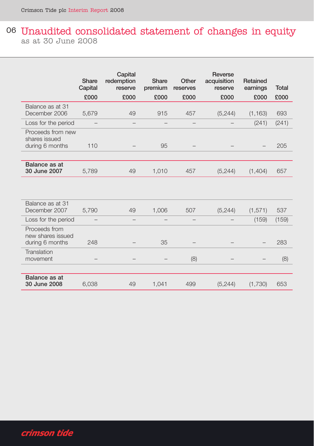## 06 Unaudited consolidated statement of changes in equity as at 30 June 2008

|                                                       | Share<br>Capital         | Capital<br>redemption<br>reserve | Share<br>premium         | Other<br>reserves | Reverse<br>acquisition<br>reserve | Retained<br>earnings | <b>Total</b> |
|-------------------------------------------------------|--------------------------|----------------------------------|--------------------------|-------------------|-----------------------------------|----------------------|--------------|
|                                                       | £000                     | £000                             | £000                     | £000              | £000                              | £000                 | £000         |
| Balance as at 31<br>December 2006                     | 5,679                    | 49                               | 915                      | 457               | (5, 244)                          | (1, 163)             | 693          |
| Loss for the period                                   |                          |                                  | $\overline{\phantom{0}}$ |                   |                                   | (241)                | (241)        |
| Proceeds from new<br>shares issued<br>during 6 months | 110                      |                                  | 95                       |                   |                                   |                      | 205          |
| Balance as at<br>30 June 2007                         | 5,789                    | 49                               | 1,010                    | 457               | (5, 244)                          | (1,404)              | 657          |
|                                                       |                          |                                  |                          |                   |                                   |                      |              |
| Balance as at 31<br>December 2007                     | 5,790                    | 49                               | 1,006                    | 507               | (5, 244)                          | (1,571)              | 537          |
| Loss for the period                                   | $\overline{\phantom{0}}$ |                                  | $\overline{\phantom{0}}$ |                   |                                   | (159)                | (159)        |
| Proceeds from<br>new shares issued<br>during 6 months | 248                      |                                  | 35                       |                   |                                   |                      | 283          |
| Translation<br>movement                               |                          |                                  |                          | (8)               |                                   |                      | (8)          |
| Balance as at<br>30 June 2008                         | 6,038                    | 49                               | 1,041                    | 499               | (5, 244)                          | (1,730)              | 653          |

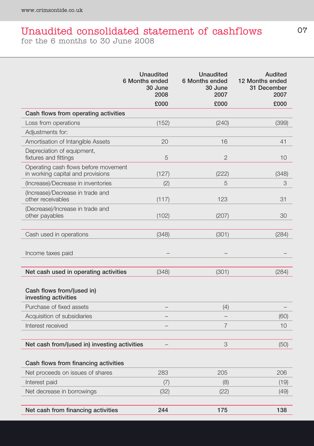# Unaudited consolidated statement of cashflows

for the 6 months to 30 June 2008

|                                                                           | <b>Unaudited</b><br>6 Months ended<br>30 June<br>2008 | <b>Unaudited</b><br>6 Months ended<br>30 June<br>2007 | Audited<br>12 Months ended<br>31 December<br>2007 |
|---------------------------------------------------------------------------|-------------------------------------------------------|-------------------------------------------------------|---------------------------------------------------|
|                                                                           | £000                                                  | £000                                                  | £000                                              |
| Cash flows from operating activities                                      |                                                       |                                                       |                                                   |
| Loss from operations                                                      | (152)                                                 | (240)                                                 | (399)                                             |
| Adjustments for:                                                          |                                                       |                                                       |                                                   |
| Amortisation of Intangible Assets                                         | 20                                                    | 16                                                    | 41                                                |
| Depreciation of equipment,<br>fixtures and fittings                       | 5                                                     | $\overline{2}$                                        | 10                                                |
| Operating cash flows before movement<br>in working capital and provisions | (127)                                                 | (222)                                                 | (348)                                             |
| (Increase)/Decrease in inventories                                        | (2)                                                   | 5                                                     | 3                                                 |
| (Increase)/Decrease in trade and<br>other receivables                     | (117)                                                 | 123                                                   | 31                                                |
| (Decrease)/Increase in trade and<br>other payables                        | (102)                                                 | (207)                                                 | 30                                                |
| Cash used in operations                                                   | (348)                                                 | (301)                                                 | (284)                                             |
| Income taxes paid                                                         |                                                       |                                                       |                                                   |
| Net cash used in operating activities                                     | (348)                                                 | (301)                                                 | (284)                                             |
| Cash flows from/(used in)<br>investing activities                         |                                                       |                                                       |                                                   |
| Purchase of fixed assets                                                  |                                                       | (4)                                                   |                                                   |
| Acquisition of subsidiaries                                               |                                                       | $\overline{\phantom{0}}$                              | (60)                                              |
| Interest received                                                         |                                                       | $\overline{7}$                                        | 10                                                |
| Net cash from/(used in) investing activities                              |                                                       | 3                                                     | (50)                                              |
| Cash flows from financing activities                                      |                                                       |                                                       |                                                   |
| Net proceeds on issues of shares                                          | 283                                                   | 205                                                   | 206                                               |
| Interest paid                                                             | (7)                                                   | (8)                                                   | (19)                                              |
| Net decrease in borrowings                                                | (32)                                                  | (22)                                                  | (49)                                              |
| Net cash from financing activities                                        | 244                                                   | 175                                                   | 138                                               |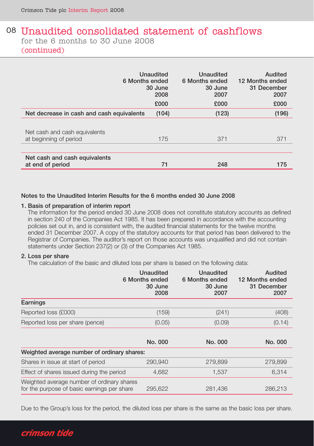### 08 Unaudited consolidated statement of cashflows for the 6 months to 30 June 2008 (continued)

| 6 Months ended                                          | Unaudited<br>30 June<br>2008 | Unaudited<br>6 Months ended<br>30 June<br>2007 | Audited<br>12 Months ended<br>31 December<br>2007 |  |
|---------------------------------------------------------|------------------------------|------------------------------------------------|---------------------------------------------------|--|
|                                                         | £000                         | £000                                           | £000                                              |  |
| Net decrease in cash and cash equivalents               | (104)                        | (123)                                          | (196)                                             |  |
| Net cash and cash equivalents<br>at beginning of period | 175                          | 371                                            | 371                                               |  |
| Net cash and cash equivalents<br>at end of period       | 71                           | 248                                            | 175                                               |  |

#### Notes to the Unaudited Interim Results for the 6 months ended 30 June 2008

#### 1. Basis of preparation of interim report

The information for the period ended 30 June 2008 does not constitute statutory accounts as defined in section 240 of the Companies Act 1985. It has been prepared in accordance with the accounting policies set out in, and is consistent with, the audited financial statements for the twelve months ended 31 December 2007. A copy of the statutory accounts for that period has been delivered to the Registrar of Companies. The auditor's report on those accounts was unqualified and did not contain statements under Section 237(2) or (3) of the Companies Act 1985.

#### 2. Loss per share

The calculation of the basic and diluted loss per share is based on the following data:

|                                                                                           | Unaudited<br>6 Months ended<br>30 June<br>2008 | Unaudited<br>6 Months ended<br>30 June<br>2007 | Audited<br>12 Months ended<br>31 December<br>2007 |
|-------------------------------------------------------------------------------------------|------------------------------------------------|------------------------------------------------|---------------------------------------------------|
| Earnings                                                                                  |                                                |                                                |                                                   |
| Reported loss (£000)                                                                      | (159)                                          | (241)                                          | (408)                                             |
| Reported loss per share (pence)                                                           | (0.05)                                         | (0.09)                                         | (0.14)                                            |
|                                                                                           |                                                |                                                |                                                   |
|                                                                                           | No. 000                                        | No. 000                                        | No. 000                                           |
| Weighted average number of ordinary shares:                                               |                                                |                                                |                                                   |
| Shares in issue at start of period                                                        | 290,940                                        | 279,899                                        | 279,899                                           |
| Effect of shares issued during the period                                                 | 4,682                                          | 1,537                                          | 6,314                                             |
| Weighted average number of ordinary shares<br>for the purpose of basic earnings per share | 295,622                                        | 281,436                                        | 286,213                                           |

Due to the Group's loss for the period, the diluted loss per share is the same as the basic loss per share.